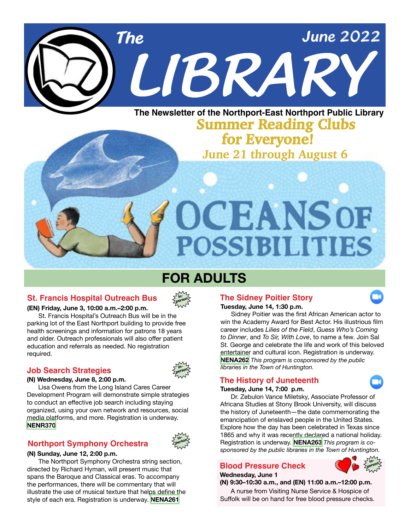

### **June 21 through August 6 Summer Reading Clubs for Everyone!**

OCEANSOF

**POSSIBILITIES** 

### **FOR ADULTS**

### **St. Francis Hospital Outreach Bus in-**



### **(EN) Friday, June 3, 10:00 a.m.–2:00 p.m.**

 St. Francis Hospital's Outreach Bus will be in the parking lot of the East Northport building to provide free health screenings and information for patrons 18 years and older. Outreach professionals will also offer patient education and referrals as needed. No registration required.

### *libraries in the Town of Huntington.* **Job Search Strategies**



**in-**

#### **(N) Wednesday, June 8, 2:00 p.m.**

 Lisa Owens from the Long Island Cares Career Development Program will demonstrate simple strategies to conduct an effective job search including staying organized, using your own network and resources, social media platforms, and more. Registration is underway. **[NENR370](https://www.nenpl.org/event/job-search-strategies-person)**

### **Northport Symphony Orchestra**



 The Northport Symphony Orchestra string section, directed by Richard Hyman, will present music that spans the Baroque and Classical eras. To accompany the performances, there will be commentary that will illustrate the use of musical texture that helps define the style of each era. Registration is underway. **[NENA261](https://www.nenpl.org/event/northport-symphony-orchestra-person)**

### **The Sidney Poitier Story**



 Sidney Poitier was the first African American actor to win the Academy Award for Best Actor. His illustrious film career includes *Lilies of the Field*, *Guess Who's Coming to Dinner*, and *To Sir, With Love*, to name a few. Join Sal St. George and celebrate the life and work of this beloved entertainer and cultural icon. Registration is underway. **[NENA262](https://www.nenpl.org/event/sidney-poitier-story-zoom)** *This program is cosponsored by the public*

### **The History of Juneteenth**

#### **Tuesday, June 14, 7:00 p.m.**

 Dr. Zebulon Vance Miletsky, Associate Professor of Africana Studies at Stony Brook University, will discuss the history of Juneteenth—the date commemorating the emancipation of enslaved people in the United States. Explore how the day has been celebrated in Texas since 1865 and why it was recently declared a national holiday. Registration is underway. **[NENA263](https://www.nenpl.org/event/history-juneteenth-zoom)** *This program is cosponsored by the public libraries in the Town of Huntington.* 

### **Blood Pressure Check in-**

**Wednesday, June 1**



**(N) 9:30–10:30 a.m., and (EN) 11:00 a.m.–12:00 p.m.** A nurse from Visiting Nurse Service & Hospice of Suffolk will be on hand for free blood pressure checks.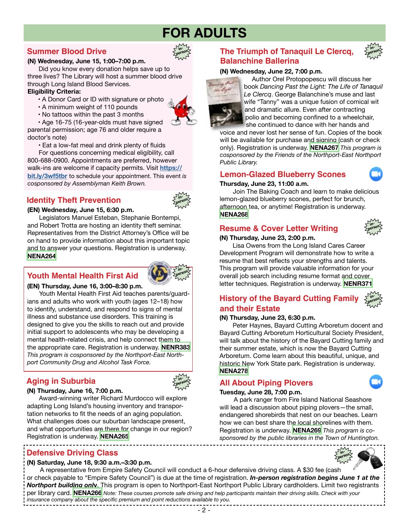### **FOR ADULTS**

**inperson**

### **Summer Blood Drive**

#### **(N) Wednesday, June 15, 1:00–7:00 p.m.**

 Did you know every donation helps save up to three lives? The Library will host a summer blood drive through Long Island Blood Services.

### **Eligibility Criteria:**

- A Donor Card or ID with signature or photo
- A minimum weight of 110 pounds
- No tattoos within the past 3 months

 • Age 16-75 (16-year-olds must have signed parental permission; age 76 and older require a doctor's note)

• Eat a low-fat meal and drink plenty of fluids

 For questions concerning medical eligibility, call 800-688-0900. Appointments are preferred, however walk-ins are welcome if capacity permits. Visit **[https://](https://donate.nybc.org/donor/schedules/drive_schedule/304225) [bit.ly/3wf5tbr](https://donate.nybc.org/donor/schedules/drive_schedule/304225)** to schedule your appointment. This event *is cosponsored by Assemblyman Keith Brown.*

### **Identity Theft Prevention**



### **(EN) Wednesday, June 15, 6:30 p.m.**

Legislators Manuel Esteban, Stephanie Bontempi, and Robert Trotta are hosting an identity theft seminar. Representatives from the District Attorney's Office will be on hand to provide information about this important topic and to answer your questions. Registration is underway. **[NENA264](https://www.nenpl.org/event/identity-theft-prevention-person)**

### **Youth Mental Health First Aid**



### **(EN) Thursday, June 16, 3:00–8:30 p.m.**

 Youth Mental Health First Aid teaches parents/guardians and adults who work with youth (ages 12–18) how to identify, understand, and respond to signs of mental illness and substance use disorders. This training is designed to give you the skills to reach out and provide initial support to adolescents who may be developing a mental health-related crisis, and help connect them to the appropriate care. Registration is underway. **[NENR383](https://www.nenpl.org/event/youth-mental-health-first-aid-person)**  *This program is cosponsored by the Northport-East Northport Community Drug and Alcohol Task Force.*

### **Aging in Suburbia**



### **(N) Thursday, June 16, 7:00 p.m.**

Award-winning writer Richard Murdocco will explore adapting Long Island's housing inventory and transportation networks to fit the needs of an aging population. What challenges does our suburban landscape present, and what opportunities are there for change in our region? Registration is underway. **[NENA265](https://www.nenpl.org/event/aging-suburbia-person)**

### **Defensive Driving Class in-**

#### **(N) Saturday, June 18, 9:30 a.m.–3:30 p.m.**

------------------------------------

 A representative from Empire Safety Council will conduct a 6-hour defensive driving class. A \$30 fee (cash or check payable to "Empire Safety Council") is due at the time of registration. *In-person registration begins June 1 at the Northport building onl***y**. This program is open to Northport-East Northport Public Library cardholders. Limit two registrants per library card. **[NENA266](https://www.nenpl.org/event/defensive-driving-class-person-1)** *Note: These courses promote safe driving and help participants maintain their driving skills. Check with your insurance company about the specific premium and point reductions available to you.*

### **The Triumph of Tanaquil Le Clercq, in-Balanchine Ballerina**

### **(N) Wednesday, June 22, 7:00 p.m.**



Author Orel Protopopescu will discuss her book *Dancing Past the Light: The Life of Tanaquil Le Clercq*. George Balanchine's muse and last wife "Tanny" was a unique fusion of comical wit and dramatic allure. Even after contracting polio and becoming confined to a wheelchair, she continued to dance with her hands and

voice and never lost her sense of fun. Copies of the book will be available for purchase and signing (cash or check only). Registration is underway. **[NENA267](https://www.nenpl.org/event/triumph-tanaquil-le-clercq-balanchine-ballerina-person)** *This program is cosponsored by the Friends of the Northport-East Northport Public Library.*

### **Lemon-Glazed Blueberry Scones**



**person**

### **Thursday, June 23, 11:00 a.m.**

 Join The Baking Coach and learn to make delicious lemon-glazed blueberry scones, perfect for brunch, afternoon tea, or anytime! Registration is underway. **[NENA268](https://www.nenpl.org/event/lemon-glazed-blueberry-scones-zoom)**

### **Resume & Cover Letter Writing**

**(N) Thursday, June 23, 2:00 p.m.**



#### Lisa Owens from the Long Island Cares Career Development Program will demonstrate how to write a resume that best reflects your strengths and talents. This program will provide valuable information for your overall job search including resume format and cover letter techniques. Registration is underway. **[NENR371](https://www.nenpl.org/event/resume-cover-letter-writing-person)**

#### **History of the Bayard Cutting Family inperson and their Estate**

### **(N) Thursday, June 23, 6:30 p.m.**

 Peter Haynes, Bayard Cutting Arboretum docent and Bayard Cutting Arboretum Horticultural Society President, will talk about the history of the Bayard Cutting family and their summer estate, which is now the Bayard Cutting Arboretum. Come learn about this beautiful, unique, and historic New York State park. Registration is underway. **[NENA278](https://www.nenpl.org/event/history-bayard-cutting-family-and-their-estate-person)**

### **All About Piping Plovers**

#### **Tuesday, June 28, 7:00 p.m.**

 A park ranger from Fire Island National Seashore will lead a discussion about piping plovers—the small, endangered shorebirds that nest on our beaches. Learn how we can best share the local shorelines with them. Registration is underway. **[NENA269](https://www.nenpl.org/event/all-about-piping-plovers-zoom)** *This program is cosponsored by the public libraries in the Town of Huntington.*



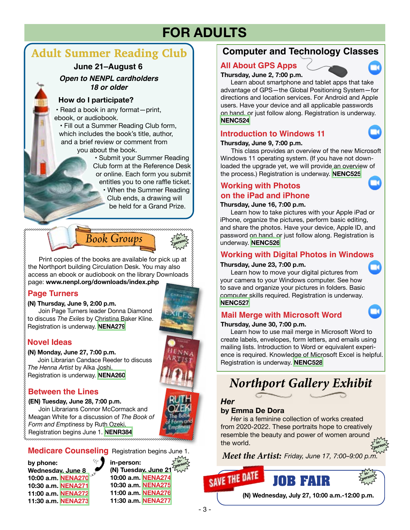## **FOR ADULTS**

### **Adult Summer Reading Club**

### **June 21–August 6**

### *Open to NENPL cardholders 18 or older*

### **How do I participate?**

 • Read a book in any format—print, ebook, or audiobook.

 • Fill out a Summer Reading Club form, which includes the book's title, author, and a brief review or comment from

you about the book.

 • Submit your Summer Reading Club form at the Reference Desk or online. Each form you submit entitles you to one raffle ticket.

• When the Summer Reading Club ends, a drawing will be held for a Grand Prize.



**person** Print copies of the books are available for pick up at the Northport building Circulation Desk. You may also

access an ebook or audiobook on the library Downloads page: **www.nenpl.org/downloads/index.php**

### **Page Turners**

### **(N) Thursday, June 9, 2:00 p.m.**

 Join Page Turners leader Donna Diamond to discuss *The Exiles* by Christina Baker Kline. Registration is underway. **[NENA279](https://www.nenpl.org/event/page-turners-book-discussion-person-1)**



### **(N) Monday, June 27, 7:00 p.m.**

Join Librarian Candace Reeder to discuss *The Henna Artist* by Alka Joshi. Registration is underway. **[NENA260](https://www.nenpl.org/event/novel-ideas-person-2)**

### **Between the Lines**

**(EN) Tuesday, June 28, 7:00 p.m.** Join Librarians Connor McCormack and Meagan White for a discussion of *The Book of Form and Emptiness* by Ruth Ozeki. Registration begins June 1. **[NENR384](https://www.nenpl.org/event/between-lines-person-0)**



**in-**

### **Medicare Counseling** Registration begins June 1.

**by phone: Wednesday, June 8 10:00 a.m. [NENA270](https://www.nenpl.org/event/medicare-counseling-phone-10) 10:30 a.m. [NENA271](https://www.nenpl.org/event/medicare-counseling-phone-11) 11:00 a.m. [NENA272](https://www.nenpl.org/event/medicare-counseling-phone-12) 11:30 a.m. [NENA273](https://www.nenpl.org/events/upcoming?keywords=NENA273)**

**inperson in-person: (N) Tuesday, June 21 10:00 a.m. [NENA274](https://www.nenpl.org/event/medicare-counseling-person-7) 10:30 a.m. [NENA275](https://www.nenpl.org/event/medicare-counseling-person-8) 11:00 a.m. [NENA276](https://www.nenpl.org/event/medicare-counseling-person-9) 11:30 a.m. [NENA277](https://www.nenpl.org/event/medicare-counseling-person-10)**

### **Computer and Technology Classes**

### **All About GPS Apps**

**Thursday, June 2, 7:00 p.m.** 

 Learn about smartphone and tablet apps that take advantage of GPS—the Global Positioning System—for directions and location services. For Android and Apple users. Have your device and all applicable passwords on hand, or just follow along. Registration is underway. **[NENC524](https://www.nenpl.org/event/all-about-gps-apps-zoom)**

### **Introduction to Windows 11**

### **Thursday, June 9, 7:00 p.m.**

 This class provides an overview of the new Microsoft Windows 11 operating system. (If you have not downloaded the upgrade yet, we will provide an overview of the process.) Registration is underway. **[NENC525](https://www.nenpl.org/event/introduction-microsoft-windows-11-zoom)**

### **Working with Photos on the iPad and iPhone**

### **Thursday, June 16, 7:00 p.m.**

 Learn how to take pictures with your Apple iPad or iPhone, organize the pictures, perform basic editing, and share the photos. Have your device, Apple ID, and password on hand, or just follow along. Registration is underway. **[NENC526](https://www.nenpl.org/event/working-photos-ipad-and-iphone-zoom)**

### **Working with Digital Photos in Windows**

### **Thursday, June 23, 7:00 p.m.**

 Learn how to move your digital pictures from your camera to your Windows computer. See how to save and organize your pictures in folders. Basic computer skills required. Registration is underway. **[NENC527](https://www.nenpl.org/event/working-your-digital-photos-microsoft-windows-zoom)**

### **Mail Merge with Microsoft Word**

### **Thursday, June 30, 7:00 p.m.**

 Learn how to use mail merge in Microsoft Word to create labels, envelopes, form letters, and emails using mailing lists. Introduction to Word or equivalent experience is required. Knowledge of Microsoft Excel is helpful. Registration is underway. **[NENC528](https://www.nenpl.org/event/mail-merge-microsoft-word-zoom)**

## *Northport Gallery Exhibit*

### *Her*

SAVE THE DATE

### **by Emma De Dora**

 *Her* is a feminine collection of works created from 2020-2022. These portraits hope to creatively resemble the beauty and power of women around the world. **person**

*Meet the Artist: Friday, June 17, 7:00–9:00 p.m.*



**in-**

**(N) Wednesday, July 27, 10:00 a.m.-12:00 p.m.**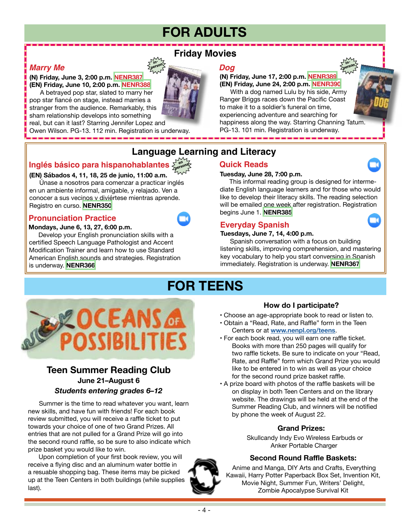# **FOR ADULTS**

### *Marry Me*

### **(N) Friday, June 3, 2:00 p.m. [NENR387](https://www.nenpl.org/event/friday-movies-marry-me-person-0) (EN) Friday, June 10, 2:00 p.m. [NENR388](https://www.nenpl.org/event/friday-movies-marry-me-person)**

 A betrayed pop star, slated to marry her pop star fiancé on stage, instead marries a stranger from the audience. Remarkably, this sham relationship develops into something

real, but can it last? Starring Jennifer Lopez and Owen Wilson. PG-13. 112 min. Registration is underway.

### **Friday Movies**

**inperson**

### *Dog*

### **(N) Friday, June 17, 2:00 p.m. [NENR389](https://www.nenpl.org/event/friday-movies-dog-person-0) (EN) Friday, June 24, 2:00 p.m. [NENR390](https://www.nenpl.org/event/friday-movies-dog-person)**

**inperson**

 With a dog named Lulu by his side, Army Ranger Briggs races down the Pacific Coast to make it to a soldier's funeral on time, experiencing adventure and searching for happiness along the way. Starring Channing Tatum. PG-13. 101 min. Registration is underway.

### **Language Learning and Literacy**

#### **Inglés básico para hispanohablantes en persona**

### **(EN) Sábados 4, 11, 18, 25 de junio, 11:00 a.m.**

 Únase a nosotros para comenzar a practicar inglés en un ambiente informal, amigable, y relajado. Ven a conocer a sus vecinos y diviértese mientras aprende. Registro en curso. **[NENR350](https://www.nenpl.org/event/ingles-basico-para-hispanohablantes-en-persona-basic-english-spanish-speakers-person-3)**

### **Pronunciation Practice**

### **Mondays, June 6, 13, 27, 6:00 p.m.**

Develop your English pronunciation skills with a certified Speech Language Pathologist and Accent Modification Trainer and learn how to use Standard American English sounds and strategies. Registration is underway. **[NENR366](https://www.nenpl.org/event/pronunciation-practice-zoom-9)**



### **Tuesday, June 28, 7:00 p.m.**

This informal reading group is designed for intermediate English language learners and for those who would like to develop their literacy skills. The reading selection will be emailed one week after registration. Registration begins June 1. **[NENR385](https://www.nenpl.org/event/quick-reads-zoom-1)**

### **Everyday Spanish**

### **Tuesdays, June 7, 14, 4:00 p.m.**

Spanish conversation with a focus on building listening skills, improving comprehension, and mastering key vocabulary to help you start conversing in Spanish immediately. Registration is underway. **[NENR367](https://www.nenpl.org/event/everyday-spanish-zoom-11)**

## **FOR TEENS**



### *Students entering grades 6–12* **June 21–August 6 Teen Summer Reading Club**

 Summer is the time to read whatever you want, learn new skills, and have fun with friends! For each book review submitted, you will receive a raffle ticket to put towards your choice of one of two Grand Prizes. All entries that are not pulled for a Grand Prize will go into the second round raffle, so be sure to also indicate which prize basket you would like to win.

 Upon completion of your first book review, you will receive a flying disc and an aluminum water bottle in a resuable shopping bag. These items may be picked up at the Teen Centers in both buildings (while supplies last).



- Choose an age-appropriate book to read or listen to.
- Obtain a "Read, Rate, and Raffle" form in the Teen Centers or at **[www.nenpl.org/teens](http://www.nenpl.org/teens)**.
- For each book read, you will earn one raffle ticket. Books with more than 250 pages will qualify for two raffle tickets. Be sure to indicate on your "Read, Rate, and Raffle" form which Grand Prize you would like to be entered in to win as well as your choice for the second round prize basket raffle.
- A prize board with photos of the raffle baskets will be on display in both Teen Centers and on the library website. The drawings will be held at the end of the Summer Reading Club, and winners will be notified by phone the week of August 22.

### **Grand Prizes:**

 Skullcandy Indy Evo Wireless Earbuds or Anker Portable Charger

### **Second Round Raffle Baskets:**

 Anime and Manga, DIY Arts and Crafts, Everything Kawaii, Harry Potter Paperback Box Set, Invention Kit, Movie Night, Summer Fun, Writers' Delight, Zombie Apocalypse Survival Kit

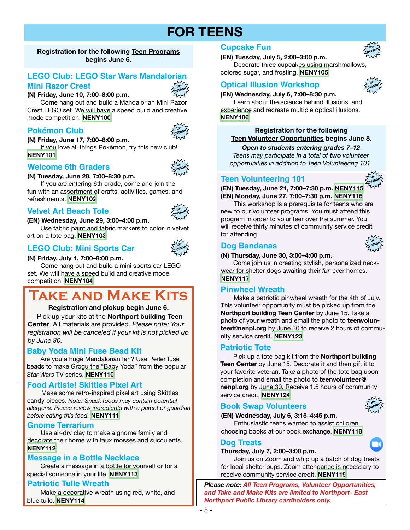### **FOR TEENS**

### **Registration for the following Teen Programs begins June 6.**

### **LEGO Club: LEGO Star Wars Mandalorian**

### **Mini Razor Crest**

**(N) Friday, June 10, 7:00–8:00 p.m.** 

Come hang out and build a Mandalorian Mini Razor Crest LEGO set. We will have a speed build and creative mode competition. **[NENY100](https://www.nenpl.org/event/lego-club-lego-star-wars-mandalorian-mini-razor-crest-person)**

### **Pokémon Club**

**(N) Friday, June 17, 7:00–8:00 p.m.**  If you love all things Pokémon, try this new club! **[NENY101](https://www.nenpl.org/event/pokemon-club-person)**

### **Welcome 6th Graders**

### **(N) Tuesday, June 28, 7:00–8:30 p.m.**

If you are entering 6th grade, come and join the fun with an assortment of crafts, activities, games, and refreshments. **[NENY102](https://www.nenpl.org/event/welcome-6th-graders-person)**

### **Velvet Art Beach Tote**

### **(EN) Wednesday, June 29, 3:00–4:00 p.m.**

Use fabric paint and fabric markers to color in velvet art on a tote bag. **[NENY103](https://www.nenpl.org/event/velvet-art-beach-tote-person)**

### **LEGO Club: Mini Sports Car**

### **(N) Friday, July 1, 7:00–8:00 p.m.**

Come hang out and build a mini sports car LEGO set. We will have a speed build and creative mode competition. **[NENY104](https://www.nenpl.org/event/lego-club-mini-sports-car-person)**

# **Take and Make Kits**

### **Registration and pickup begin June 6.**

 Pick up your kits at the **Northport building Teen Center**. All materials are provided. *Please note: Your registration will be canceled if your kit is not picked up by June 30.*

### **Baby Yoda Mini Fuse Bead Kit**

 Are you a huge Mandalorian fan? Use Perler fuse beads to make Grogu the "Baby Yoda" from the popular *Star Wars* TV series. **[NENY110](https://www.nenpl.org/event/baby-yoda-mini-fuse-bead-kit-take-and-make)**

### **Food Artiste! Skittles Pixel Art**

 Make some retro-inspired pixel art using Skittles candy pieces. *Note: Snack foods may contain potential allergens. Please review ingredients with a parent or guardian before eating this food.* **[NENY111](https://www.nenpl.org/event/food-artiste-skittles-pixel-art-take-and-make)**

### **Gnome Terrarium**

 Use air-dry clay to make a gnome family and decorate their home with faux mosses and succulents. **[NENY112](https://www.nenpl.org/event/gnome-terrarium-take-and-make)**

### **Message in a Bottle Necklace**

 Create a message in a bottle for yourself or for a special someone in your life. **[NENY113](https://www.nenpl.org/event/message-bottle-necklace-take-and-make)**

### **Patriotic Tulle Wreath**

 Make a decorative wreath using red, white, and blue tulle. **[NENY114](https://www.nenpl.org/event/patriotic-tulle-wreath-take-and-make)**

### **Cupcake Fun in-**

**(EN) Tuesday, July 5, 2:00–3:00 p.m.** 

Decorate three cupcakes using marshmallows, colored sugar, and frosting. **[NENY105](https://www.nenpl.org/event/cupcake-fun-person)**

### **Optical Illusion Workshop**

**(EN) Wednesday, July 6, 7:00–8:30 p.m.** 

Learn about the science behind illusions, and experience and recreate multiple optical illusions. **[NENY106](https://www.nenpl.org/event/optical-illusion-workshop-person)**

### **Registration for the following Teen Volunteer Opportunities begins June 8.**

*Open to students entering grades 7–12 Teens may participate in a total of two volunteer opportunities in addition to Teen Volunteering 101.*

### **Teen Volunteering 101**

**(EN) Tuesday, June 21, 7:00–7:30 p.m. [NENY115](https://www.nenpl.org/event/teen-volunteering-101-person) (EN) Monday, June 27, 7:00–7:30 p.m. [NENY116](https://www.nenpl.org/event/teen-volunteering-101-person-0)  person**

This workshop is a prerequisite for teens who are new to our volunteer programs. You must attend this program in order to volunteer over the summer. You will receive thirty minutes of community service credit for attending.

### **Dog Bandanas**

### **(N) Thursday, June 30, 3:00–4:00 p.m.**

 Come join us in creating stylish, personalized neckwear for shelter dogs awaiting their *fur*-ever homes. **[NENY117](https://www.nenpl.org/event/dog-bandanas-person)**

### **Pinwheel Wreath**

 Make a patriotic pinwheel wreath for the 4th of July. This volunteer opportunity must be picked up from the **Northport building Teen Center** by June 15. Take a photo of your wreath and email the photo to **teenvolunteer@nenpl.org** by June 30 to receive 2 hours of community service credit. **[NENY123](https://www.nenpl.org/event/pinwheel-wreath)**

### **Patriotic Tote**

 Pick up a tote bag kit from the **Northport building Teen Center** by June 15. Decorate it and then gift it to your favorite veteran. Take a photo of the tote bag upon completion and email the photo to **teenvolunteer@ nenpl.org** by June 30. Receive 1.5 hours of community service credit. **[NENY124](https://www.nenpl.org/event/patriotic-tote)**

### **Book Swap Volunteers**

### **(EN) Wednesday, July 6, 3:15–4:45 p.m.**

 Enthusiastic teens wanted to assist children choosing books at our book exchange. **[NENY118](https://www.nenpl.org/event/book-swap-volunteers-person)**

### **Dog Treats**

### **Thursday, July 7, 2:00–3:00 p.m.**

 Join us on Zoom and whip up a batch of dog treats for local shelter pups. Zoom attendance is necessary to receive community service credit. **[NENY119](https://www.nenpl.org/event/dog-treats-zoom)**

*Please note: All Teen Programs, Volunteer Opportunities, and Take and Make Kits are limited to Northport- East Northport Public Library cardholders only.*



**in-**



**inperson**





**person**



**person**

**inperson**

**inperson**

**inperson**

### **inperson**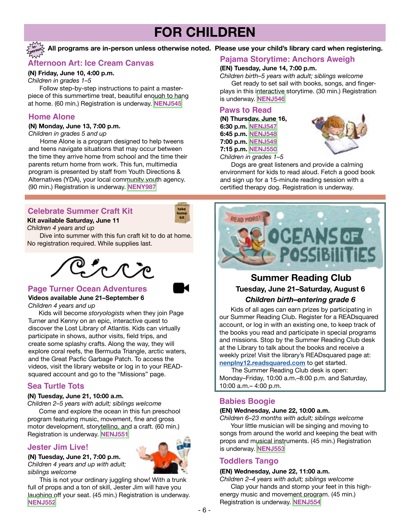### **FOR CHILDREN**

#### **All programs are in-person unless otherwise noted. Please use your child's library card when registering. inperson**

### **Afternoon Art: Ice Cream Canvas**

### **(N) Friday, June 10, 4:00 p.m.**

*Children in grades 1–5* Follow step-by-step instructions to paint a masterpiece of this summertime treat, beautiful enough to hang at home. (60 min.) Registration is underway. **[NENJ545](https://www.nenpl.org/event/afternoon-art-ice-cream-canvas-person)**

### **Home Alone**

#### **(N) Monday, June 13, 7:00 p.m.**

*Children in grades 5 and up*

 Home Alone is a program designed to help tweens and teens navigate situations that may occur between the time they arrive home from school and the time their parents return home from work. This fun, multimedia program is presented by staff from Youth Directions & Alternatives (YDA), your local community youth agency. (90 min.) Registration is underway. **[NENY987](https://www.nenpl.org/event/home-alone-person)**

### **Celebrate Summer Craft Kit take**



### **Kit available Saturday, June 11**

*Children 4 years and up*

Dive into summer with this fun craft kit to do at home. No registration required. While supplies last.



### **Page Turner Ocean Adventures**

### **Videos available June 21–September 6**

*Children 4 years and up*

 Kids will become *storyologists* when they join Page Turner and Kenny on an epic, interactive quest to discover the Lost Library of Atlantis. Kids can virtually participate in shows, author visits, field trips, and create some splashy crafts. Along the way, they will explore coral reefs, the Bermuda Triangle, arctic waters, and the Great Pacfic Garbage Patch. To access the videos, visit the library website or log in to your READsquared account and go to the "Missions" page.

### **Sea Turtle Tots**

#### **(N) Tuesday, June 21, 10:00 a.m.**

*Children 2–5 years with adult; siblings welcome*

 Come and explore the ocean in this fun preschool program featuring music, movement, fine and gross motor development, storytelling, and a craft. (60 min.) Registration is underway. **[NENJ551](https://www.nenpl.org/event/sea-turtle-tots)**

### **Jester Jim Live!**

**(N) Tuesday, June 21, 7:00 p.m.**  *Children 4 years and up with adult; siblings welcome*



 This is not your ordinary juggling show! With a trunk full of props and a ton of skill, Jester Jim will have you laughing off your seat. (45 min.) Registration is underway. **[NENJ552](https://www.nenpl.org/event/jester-jim-live)**

### **Pajama Storytime: Anchors Aweigh**

### **(EN) Tuesday, June 14, 7:00 p.m.**

*Children birth–5 years with adult; siblings welcome* Get ready to set sail with books, songs, and fingerplays in this interactive storytime. (30 min.) Registration is underway. **[NENJ546](https://www.nenpl.org/event/pj-storytime-anchors-aweigh)**

### **Paws to Read**

**(N) Thursday, June 16, 6:30 p.m. [NENJ547](https://www.nenpl.org/event/paws-read-person-3) 6:45 p.m. [NENJ548](https://www.nenpl.org/event/paws-read-person-4) 7:00 p.m. [NENJ549](https://www.nenpl.org/event/paws-read-person-5) 7:15 p.m. [NENJ550](https://www.nenpl.org/event/paws-read-person-6)** *Children in grades 1–5*



 Dogs are great listeners and provide a calming environment for kids to read aloud. Fetch a good book and sign up for a 15-minute reading session with a certified therapy dog. Registration is underway.



### **Summer Reading Club Tuesday, June 21–Saturday, August 6** *Children birth–entering grade 6*

 Kids of all ages can earn prizes by participating in our Summer Reading Club. Register for a READsquared account, or log in with an existing one, to keep track of the books you read and participate in special programs and missions. Stop by the Summer Reading Club desk at the Library to talk about the books and receive a weekly prize! Visit the library's READsquared page at: **[nenplny12.readsquared.com](http://nenplny12.readsquared.com)** to get started.

The Summer Reading Club desk is open: Monday–Friday, 10:00 a.m.–8:00 p.m. and Saturday, 10:00 a.m.– 4:00 p.m.

### **Babies Boogie**

### **(EN) Wednesday, June 22, 10:00 a.m.**

*Children 6–23 months with adult; siblings welcome* Your little musician will be singing and moving to songs from around the world and keeping the beat with props and musical instruments. (45 min.) Registration is underway. **[NENJ553](https://www.nenpl.org/event/babies-boogie)**

### **Toddlers Tango**

### **(EN) Wednesday, June 22, 11:00 a.m.**

*Children 2–4 years with adult; siblings welcome* Clap your hands and stomp your feet in this highenergy music and movement program. (45 min.) Registration is underway. **[NENJ554](https://www.nenpl.org/event/toddlers-tango)**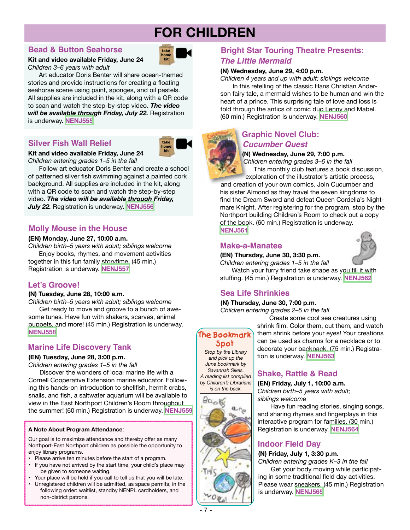# **FOR CHILDREN**

### **Bead & Button Seahorse**

### **Kit and video available Friday, June 24** *Children 3–6 years with adult*

 Art educator Doris Benter will share ocean-themed stories and provide instructions for creating a floating seahorse scene using paint, sponges, and oil pastels. All supplies are included in the kit, along with a QR code to scan and watch the step-by-step video. *The video will be available through Friday, July 22.* Registration is underway. **[NENJ555](https://www.nenpl.org/event/bead-and-button-seahorse-kit-and-video)**

### **Silver Fish Wall Relief take**



**take home kit**

**Kit and video available Friday, June 24** *Children entering grades 1–5 in the fall*

 Follow art educator Doris Benter and create a school of patterned silver fish swimming against a painted cork background. All supplies are included in the kit, along with a QR code to scan and watch the step-by-step video. *The video will be available through Friday, July 22.* Registration is underway. **[NENJ556](https://www.nenpl.org/event/silver-fish-wall-relief-kit-and-video)**

### **Molly Mouse in the House**

### **(EN) Monday, June 27, 10:00 a.m.**

*Children birth–5 years with adult; siblings welcome* Enjoy books, rhymes, and movement activities

together in this fun family storytime. (45 min.) Registration is underway. **[NENJ557](https://www.nenpl.org/event/molly-mouse-house)**

### **Let's Groove!**

### **(N) Tuesday, June 28, 10:00 a.m.**

*Children birth–5 years with adult; siblings welcome* Get ready to move and groove to a bunch of awesome tunes*.* Have fun with shakers, scarves, animal puppets, and more! (45 min.) Registration is underway. **[NENJ558](https://www.nenpl.org/event/lets-groove)**

### **Spot Marine Life Discovery Tank**

### **(EN) Tuesday, June 28, 3:00 p.m.**

*Children entering grades 1–5 in the fall*

 Discover the wonders of local marine life with a Cornell Cooperative Extension marine educator. Following this hands-on introduction to shellfish, hermit crabs, snails, and fish, a saltwater aquarium will be available to view in the East Northport Children's Room throughout the summer! (60 min.) Registration is underway. **[NENJ559](https://www.nenpl.org/event/marine-life-discovery-tank)**

### **A Note About Program Attendance**:

 Our goal is to maximize attendance and thereby offer as many Northport-East Northport children as possible the opportunity to enjoy library programs.

- Please arrive ten minutes before the start of a program.<br>• If you have not arrived by the start time, your child's pla
- If you have not arrived by the start time, your child's place may be given to someone waiting.
- Your place will be held if you call to tell us that you will be late.
- Unregistered children will be admitted, as space permits, in the following order: waitlist, standby NENPL cardholders, and non-district patrons.

### **Bright Star Touring Theatre Presents:** *The Little Mermaid*

### **(N) Wednesday, June 29, 4:00 p.m.**

*Children 4 years and up with adult; siblings welcome*  In this retelling of the classic Hans Christian Anderson fairy tale, a mermaid wishes to be human and win the heart of a prince. This surprising tale of love and loss is told through the antics of comic duo Lenny and Mabel.

(60 min.) Registration is underway. **[NENJ560](https://www.nenpl.org/event/bright-star-touring-theatre-presentsthe-little-mermaid)**

### **Graphic Novel Club:**  *Cucumber Quest*

### **(N) Wednesday, June 29, 7:00 p.m.**

*Children entering grades 3–6 in the fall*

 This monthly club features a book discussion, exploration of the illustrator's artistic process,

and creation of your own comics. Join Cucumber and his sister Almond as they travel the seven kingdoms to find the Dream Sword and defeat Queen Cordelia's Nightmare Knight. After registering for the program, stop by the Northport building Children's Room to check out a copy of the book. (60 min.) Registration is underway. **[NENJ561](https://www.nenpl.org/event/graphic-novel-club-cucumber-quest)**

### **Make-a-Manatee**

### **(EN) Thursday, June 30, 3:30 p.m.**

*Children entering grades 1–5 in the fall*

 Watch your furry friend take shape as you fill it with stuffing. (45 min.) Registration is underway. **[NENJ562](https://www.nenpl.org/event/make-manatee)**

### **Sea Life Shrinkies**

### **(N) Thursday, June 30, 7:00 p.m.**

*Children entering grades 2–5 in the fall*

**The Bookmark** 

*Stop by the Library and pick up the June bookmark by Savannah Sikes. A reading list compiled by Children's Librarians*



Create some cool sea creatures using shrink film. Color them, cut them, and watch them shrink before your eyes! Your creations can be used as charms for a necklace or to decorate your backpack. (75 min.) Registration is underway. **[NENJ563](https://www.nenpl.org/event/sea-life-shrinkies)**

### **Shake, Rattle & Read**

### **(EN) Friday, July 1, 10:00 a.m.**

*Children birth–5 years with adult; siblings welcome*

 Have fun reading stories, singing songs, and sharing rhymes and fingerplays in this interactive program for families. (30 min.) Registration is underway. **[NENJ564](https://www.nenpl.org/event/shake-rattle-and-read)**

### **Indoor Field Day**

### **(N) Friday, July 1, 3:30 p.m.**

*Children entering grades K–3 in the fall* Get your body moving while participating in some traditional field day activities. Please wear sneakers. (45 min.) Registration is underway. **[NENJ565](https://www.nenpl.org/event/indoor-field-day)**